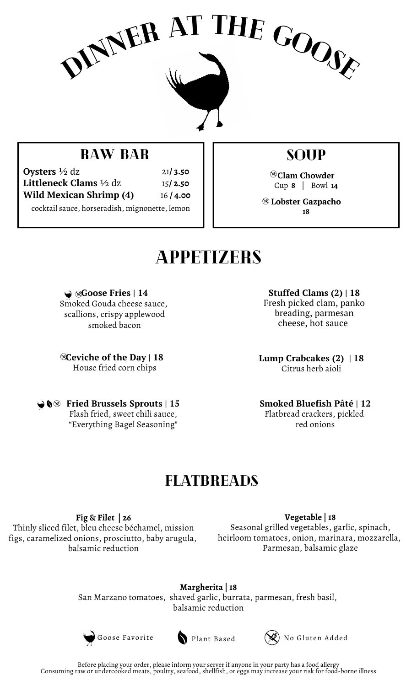

### RAW BAR

cocktail sauce, horseradish, mignonette, lemon **Oysters** ½ dz **Littleneck Clams** ½ dz **Wild Mexican Shrimp (4)** 21**/ 3.50** 15**/ 2.50** 16 **/ 4.00** soup

**Clam Chowder** Cup **8** | Bowl **14**

**Lobster Gazpacho 18**

## **APPETIZERS**

**Goose Fries | 14** Smoked Gouda cheese sauce, scallions, crispy applewood smoked bacon

**Ceviche of the Day | 18** House fried corn chips

**Fried Brussels Sprouts | 15**

Flash fried, sweet chili sauce, "Everything Bagel Seasoning"

**Stuffed Clams (2) | 18** Fresh picked clam, panko breading, parmesan cheese, hot sauce

**Lump Crabcakes (2) | 18** Citrus herb aioli

**Smoked Bluefish Pâté | 12** Flatbread crackers, pickled red onions

### **FLATBREADS**

**Fig & Filet | 26** Thinly sliced filet, bleu cheese béchamel, mission figs, caramelized onions, prosciutto, baby arugula, balsamic reduction

**Vegetable | 18** Seasonal grilled vegetables, garlic, spinach, heirloom tomatoes, onion, marinara, mozzarella, Parmesan, balsamic glaze

**Margherita | 18** San Marzano tomatoes, shaved garlic, burrata, parmesan, fresh basil, balsamic reduction



Goose Favorite Plant Based (SE) No Gluten Added



Consuming raw or undercooked meats, poultry, seafood, shellfish, or eggs may increase your risk for food-borne illness